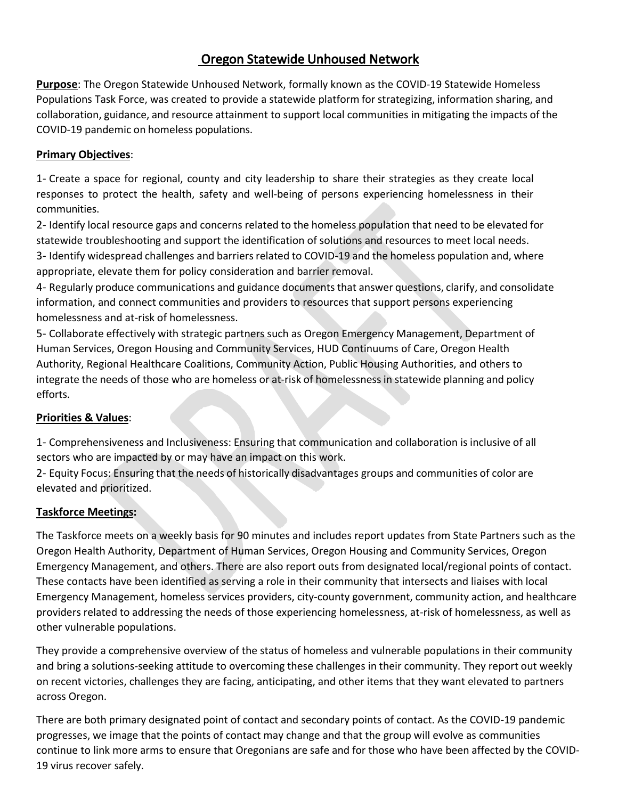### Oregon Statewide Unhoused Network

**Purpose**: The Oregon Statewide Unhoused Network, formally known as the COVID-19 Statewide Homeless Populations Task Force, was created to provide a statewide platform for strategizing, information sharing, and collaboration, guidance, and resource attainment to support local communities in mitigating the impacts of the COVID-19 pandemic on homeless populations.

#### **Primary Objectives**:

1- Create a space for regional, county and city leadership to share their strategies as they create local responses to protect the health, safety and well-being of persons experiencing homelessness in their communities.

2- Identify local resource gaps and concerns related to the homeless population that need to be elevated for statewide troubleshooting and support the identification of solutions and resources to meet local needs. 3- Identify widespread challenges and barriers related to COVID-19 and the homeless population and, where appropriate, elevate them for policy consideration and barrier removal.

4- Regularly produce communications and guidance documents that answer questions, clarify, and consolidate information, and connect communities and providers to resources that support persons experiencing homelessness and at-risk of homelessness.

5- Collaborate effectively with strategic partners such as Oregon Emergency Management, Department of Human Services, Oregon Housing and Community Services, HUD Continuums of Care, Oregon Health Authority, Regional Healthcare Coalitions, Community Action, Public Housing Authorities, and others to integrate the needs of those who are homeless or at-risk of homelessness in statewide planning and policy efforts.

#### **Priorities & Values**:

1- Comprehensiveness and Inclusiveness: Ensuring that communication and collaboration is inclusive of all sectors who are impacted by or may have an impact on this work.

2- Equity Focus: Ensuring that the needs of historically disadvantages groups and communities of color are elevated and prioritized.

#### **Taskforce Meetings:**

The Taskforce meets on a weekly basis for 90 minutes and includes report updates from State Partners such as the Oregon Health Authority, Department of Human Services, Oregon Housing and Community Services, Oregon Emergency Management, and others. There are also report outs from designated local/regional points of contact. These contacts have been identified as serving a role in their community that intersects and liaises with local Emergency Management, homeless services providers, city-county government, community action, and healthcare providers related to addressing the needs of those experiencing homelessness, at-risk of homelessness, as well as other vulnerable populations.

They provide a comprehensive overview of the status of homeless and vulnerable populations in their community and bring a solutions-seeking attitude to overcoming these challenges in their community. They report out weekly on recent victories, challenges they are facing, anticipating, and other items that they want elevated to partners across Oregon.

There are both primary designated point of contact and secondary points of contact. As the COVID-19 pandemic progresses, we image that the points of contact may change and that the group will evolve as communities continue to link more arms to ensure that Oregonians are safe and for those who have been affected by the COVID-19 virus recover safely.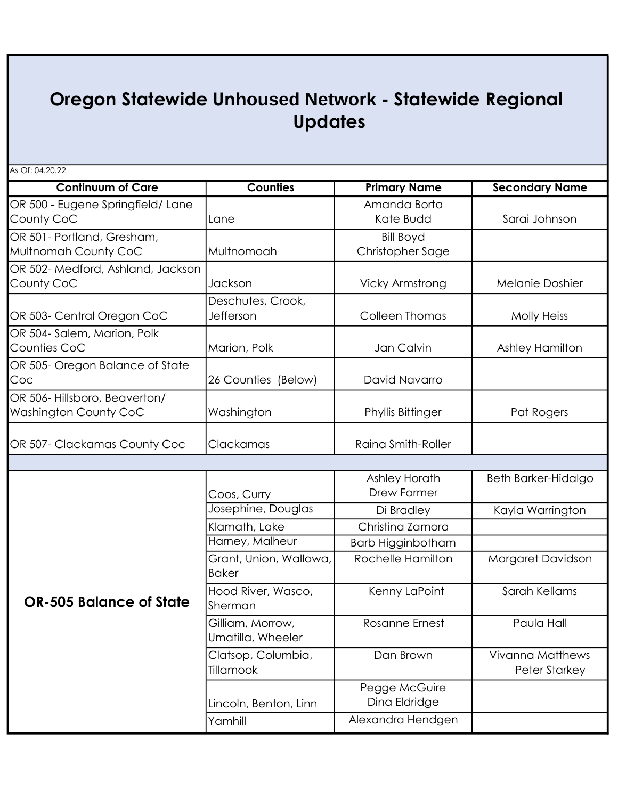# Oregon Statewide Un**housed Network** - Statewide Regional Updates

As Of: 04.20.22

| <b>Continuum of Care</b>          | <b>Counties</b>        |                        |                         |
|-----------------------------------|------------------------|------------------------|-------------------------|
|                                   |                        | <b>Primary Name</b>    | <b>Secondary Name</b>   |
| OR 500 - Eugene Springfield/Lane  |                        | Amanda Borta           |                         |
| County CoC                        | Lane                   | Kate Budd              | Sarai Johnson           |
| OR 501- Portland, Gresham,        |                        | <b>Bill Boyd</b>       |                         |
| Multnomah County CoC              | Multnomoah             | Christopher Sage       |                         |
| OR 502- Medford, Ashland, Jackson |                        |                        |                         |
| County CoC                        | Jackson                | <b>Vicky Armstrong</b> | <b>Melanie Doshier</b>  |
|                                   | Deschutes, Crook,      |                        |                         |
| OR 503- Central Oregon CoC        | Jefferson              | <b>Colleen Thomas</b>  | <b>Molly Heiss</b>      |
| OR 504-Salem, Marion, Polk        |                        |                        |                         |
| Counties CoC                      | Marion, Polk           | Jan Calvin             | Ashley Hamilton         |
| OR 505- Oregon Balance of State   |                        |                        |                         |
| Coc                               | 26 Counties (Below)    | David Navarro          |                         |
| OR 506-Hillsboro, Beaverton/      |                        |                        |                         |
| Washington County CoC             | Washington             | Phyllis Bittinger      | Pat Rogers              |
|                                   |                        |                        |                         |
| OR 507- Clackamas County Coc      | Clackamas              | Raina Smith-Roller     |                         |
|                                   |                        |                        |                         |
|                                   |                        | Ashley Horath          | Beth Barker-Hidalgo     |
|                                   | Coos, Curry            | <b>Drew Farmer</b>     |                         |
|                                   | Josephine, Douglas     | Di Bradley             | Kayla Warrington        |
|                                   | Klamath, Lake          | Christina Zamora       |                         |
|                                   | Harney, Malheur        | Barb Higginbotham      |                         |
|                                   | Grant, Union, Wallowa, | Rochelle Hamilton      | Margaret Davidson       |
|                                   | <b>Baker</b>           |                        |                         |
|                                   | Hood River, Wasco,     | Kenny LaPoint          | Sarah Kellams           |
| <b>OR-505 Balance of State</b>    | Sherman                |                        |                         |
|                                   | Gilliam, Morrow,       | <b>Rosanne Ernest</b>  | Paula Hall              |
|                                   | Umatilla, Wheeler      |                        |                         |
|                                   | Clatsop, Columbia,     | Dan Brown              | <b>Vivanna Matthews</b> |
|                                   | Tillamook              |                        | <b>Peter Starkey</b>    |

Lincoln, Benton, Linn

Yamhill **Alexandra Hendgen** 

Pegge McGuire Dina Eldridge